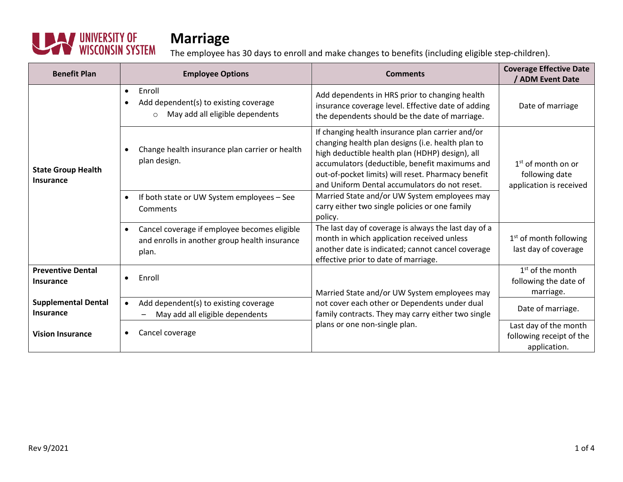

| <b>Benefit Plan</b>                     | <b>Employee Options</b>                                                                                    | <b>Comments</b>                                                                                                                                                                                                                                                                                                   | <b>Coverage Effective Date</b><br>/ ADM Event Date                |
|-----------------------------------------|------------------------------------------------------------------------------------------------------------|-------------------------------------------------------------------------------------------------------------------------------------------------------------------------------------------------------------------------------------------------------------------------------------------------------------------|-------------------------------------------------------------------|
| <b>State Group Health</b><br>Insurance  | Enroll<br>$\bullet$<br>Add dependent(s) to existing coverage<br>May add all eligible dependents<br>$\circ$ | Add dependents in HRS prior to changing health<br>insurance coverage level. Effective date of adding<br>the dependents should be the date of marriage.                                                                                                                                                            | Date of marriage                                                  |
|                                         | Change health insurance plan carrier or health<br>plan design.                                             | If changing health insurance plan carrier and/or<br>changing health plan designs (i.e. health plan to<br>high deductible health plan (HDHP) design), all<br>accumulators (deductible, benefit maximums and<br>out-of-pocket limits) will reset. Pharmacy benefit<br>and Uniform Dental accumulators do not reset. | $1st$ of month on or<br>following date<br>application is received |
|                                         | If both state or UW System employees - See<br>Comments                                                     | Married State and/or UW System employees may<br>carry either two single policies or one family<br>policy.                                                                                                                                                                                                         |                                                                   |
|                                         | Cancel coverage if employee becomes eligible<br>and enrolls in another group health insurance<br>plan.     | The last day of coverage is always the last day of a<br>month in which application received unless<br>another date is indicated; cannot cancel coverage<br>effective prior to date of marriage.                                                                                                                   | $1st$ of month following<br>last day of coverage                  |
| <b>Preventive Dental</b><br>Insurance   | Enroll                                                                                                     | Married State and/or UW System employees may                                                                                                                                                                                                                                                                      | $1st$ of the month<br>following the date of<br>marriage.          |
| <b>Supplemental Dental</b><br>Insurance | Add dependent(s) to existing coverage<br>$\bullet$<br>May add all eligible dependents                      | not cover each other or Dependents under dual<br>family contracts. They may carry either two single                                                                                                                                                                                                               | Date of marriage.                                                 |
| <b>Vision Insurance</b>                 | Cancel coverage                                                                                            | plans or one non-single plan.                                                                                                                                                                                                                                                                                     | Last day of the month<br>following receipt of the<br>application. |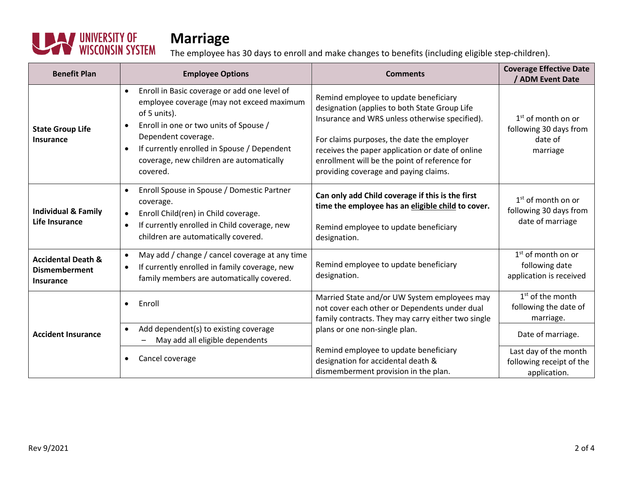

| <b>Benefit Plan</b>                                                       | <b>Employee Options</b>                                                                                                                                                                                                                                                           | <b>Comments</b>                                                                                                                                                                                                                                                                                                                      | <b>Coverage Effective Date</b><br>/ ADM Event Date                    |
|---------------------------------------------------------------------------|-----------------------------------------------------------------------------------------------------------------------------------------------------------------------------------------------------------------------------------------------------------------------------------|--------------------------------------------------------------------------------------------------------------------------------------------------------------------------------------------------------------------------------------------------------------------------------------------------------------------------------------|-----------------------------------------------------------------------|
| <b>State Group Life</b><br><b>Insurance</b>                               | Enroll in Basic coverage or add one level of<br>employee coverage (may not exceed maximum<br>of 5 units).<br>Enroll in one or two units of Spouse /<br>Dependent coverage.<br>If currently enrolled in Spouse / Dependent<br>coverage, new children are automatically<br>covered. | Remind employee to update beneficiary<br>designation (applies to both State Group Life<br>Insurance and WRS unless otherwise specified).<br>For claims purposes, the date the employer<br>receives the paper application or date of online<br>enrollment will be the point of reference for<br>providing coverage and paying claims. | $1st$ of month on or<br>following 30 days from<br>date of<br>marriage |
| <b>Individual &amp; Family</b><br><b>Life Insurance</b>                   | Enroll Spouse in Spouse / Domestic Partner<br>$\bullet$<br>coverage.<br>Enroll Child(ren) in Child coverage.<br>If currently enrolled in Child coverage, new<br>$\bullet$<br>children are automatically covered.                                                                  | Can only add Child coverage if this is the first<br>time the employee has an eligible child to cover.<br>Remind employee to update beneficiary<br>designation.                                                                                                                                                                       | $1st$ of month on or<br>following 30 days from<br>date of marriage    |
| <b>Accidental Death &amp;</b><br><b>Dismemberment</b><br><b>Insurance</b> | May add / change / cancel coverage at any time<br>$\bullet$<br>If currently enrolled in family coverage, new<br>$\bullet$<br>family members are automatically covered.                                                                                                            | Remind employee to update beneficiary<br>designation.                                                                                                                                                                                                                                                                                | $1st$ of month on or<br>following date<br>application is received     |
| <b>Accident Insurance</b>                                                 | Enroll                                                                                                                                                                                                                                                                            | Married State and/or UW System employees may<br>not cover each other or Dependents under dual<br>family contracts. They may carry either two single<br>plans or one non-single plan.                                                                                                                                                 | $1st$ of the month<br>following the date of<br>marriage.              |
|                                                                           | Add dependent(s) to existing coverage<br>$\bullet$<br>May add all eligible dependents                                                                                                                                                                                             |                                                                                                                                                                                                                                                                                                                                      | Date of marriage.                                                     |
|                                                                           | Cancel coverage                                                                                                                                                                                                                                                                   | Remind employee to update beneficiary<br>designation for accidental death &<br>dismemberment provision in the plan.                                                                                                                                                                                                                  | Last day of the month<br>following receipt of the<br>application.     |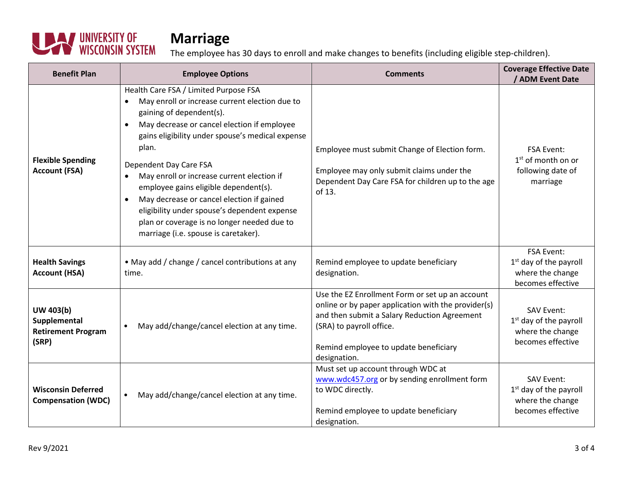

| <b>Benefit Plan</b>                                             | <b>Employee Options</b>                                                                                                                                                                                                                                                                                                                                                                                                                                                                                                                           | <b>Comments</b>                                                                                                                                                                                                                             | <b>Coverage Effective Date</b><br>/ ADM Event Date                                     |
|-----------------------------------------------------------------|---------------------------------------------------------------------------------------------------------------------------------------------------------------------------------------------------------------------------------------------------------------------------------------------------------------------------------------------------------------------------------------------------------------------------------------------------------------------------------------------------------------------------------------------------|---------------------------------------------------------------------------------------------------------------------------------------------------------------------------------------------------------------------------------------------|----------------------------------------------------------------------------------------|
| <b>Flexible Spending</b><br><b>Account (FSA)</b>                | Health Care FSA / Limited Purpose FSA<br>May enroll or increase current election due to<br>gaining of dependent(s).<br>May decrease or cancel election if employee<br>$\bullet$<br>gains eligibility under spouse's medical expense<br>plan.<br>Dependent Day Care FSA<br>May enroll or increase current election if<br>employee gains eligible dependent(s).<br>May decrease or cancel election if gained<br>eligibility under spouse's dependent expense<br>plan or coverage is no longer needed due to<br>marriage (i.e. spouse is caretaker). | Employee must submit Change of Election form.<br>Employee may only submit claims under the<br>Dependent Day Care FSA for children up to the age<br>of 13.                                                                                   | <b>FSA Event:</b><br>$1st$ of month on or<br>following date of<br>marriage             |
| <b>Health Savings</b><br><b>Account (HSA)</b>                   | • May add / change / cancel contributions at any<br>time.                                                                                                                                                                                                                                                                                                                                                                                                                                                                                         | Remind employee to update beneficiary<br>designation.                                                                                                                                                                                       | <b>FSA Event:</b><br>$1st$ day of the payroll<br>where the change<br>becomes effective |
| UW 403(b)<br>Supplemental<br><b>Retirement Program</b><br>(SRP) | May add/change/cancel election at any time.                                                                                                                                                                                                                                                                                                                                                                                                                                                                                                       | Use the EZ Enrollment Form or set up an account<br>online or by paper application with the provider(s)<br>and then submit a Salary Reduction Agreement<br>(SRA) to payroll office.<br>Remind employee to update beneficiary<br>designation. | <b>SAV Event:</b><br>$1st$ day of the payroll<br>where the change<br>becomes effective |
| <b>Wisconsin Deferred</b><br><b>Compensation (WDC)</b>          | May add/change/cancel election at any time.                                                                                                                                                                                                                                                                                                                                                                                                                                                                                                       | Must set up account through WDC at<br>www.wdc457.org or by sending enrollment form<br>to WDC directly.<br>Remind employee to update beneficiary<br>designation.                                                                             | <b>SAV Event:</b><br>$1st$ day of the payroll<br>where the change<br>becomes effective |